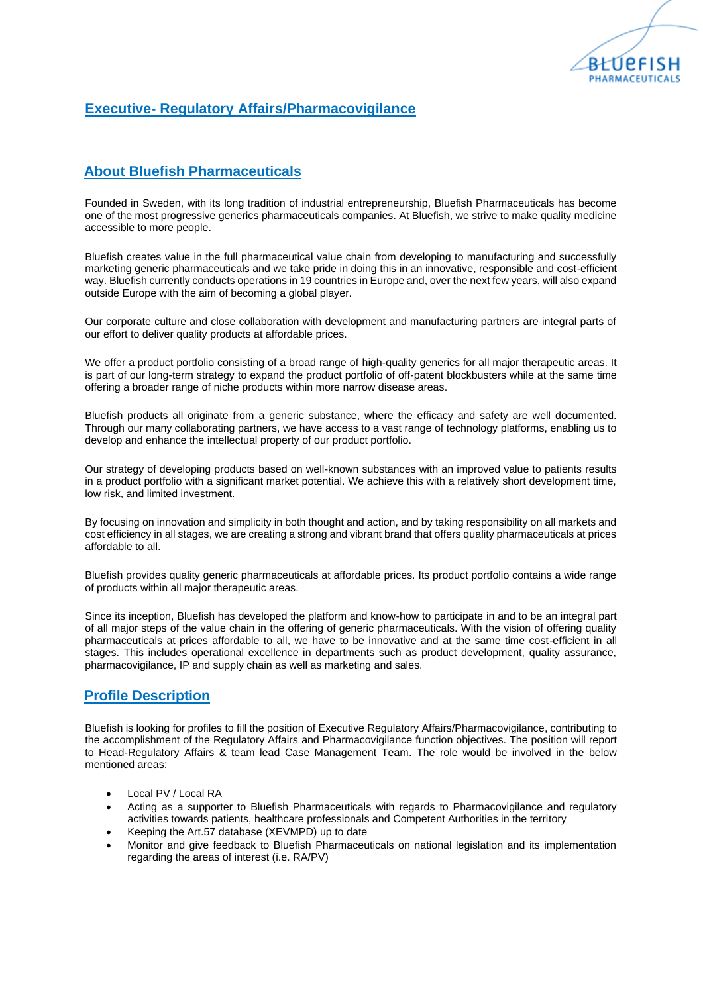

## **Executive- Regulatory Affairs/Pharmacovigilance**

## **About Bluefish Pharmaceuticals**

Founded in Sweden, with its long tradition of industrial entrepreneurship, Bluefish Pharmaceuticals has become one of the most progressive generics pharmaceuticals companies. At Bluefish, we strive to make quality medicine accessible to more people.

Bluefish creates value in the full pharmaceutical value chain from developing to manufacturing and successfully marketing generic pharmaceuticals and we take pride in doing this in an innovative, responsible and cost-efficient way. Bluefish currently conducts operations in 19 countries in Europe and, over the next few years, will also expand outside Europe with the aim of becoming a global player.

Our corporate culture and close collaboration with development and manufacturing partners are integral parts of our effort to deliver quality products at affordable prices.

We offer a product portfolio consisting of a broad range of high-quality generics for all major therapeutic areas. It is part of our long-term strategy to expand the product portfolio of off-patent blockbusters while at the same time offering a broader range of niche products within more narrow disease areas.

Bluefish products all originate from a generic substance, where the efficacy and safety are well documented. Through our many collaborating partners, we have access to a vast range of technology platforms, enabling us to develop and enhance the intellectual property of our product portfolio.

Our strategy of developing products based on well-known substances with an improved value to patients results in a product portfolio with a significant market potential. We achieve this with a relatively short development time, low risk, and limited investment.

By focusing on innovation and simplicity in both thought and action, and by taking responsibility on all markets and cost efficiency in all stages, we are creating a strong and vibrant brand that offers quality pharmaceuticals at prices affordable to all.

Bluefish provides quality generic pharmaceuticals at affordable prices. Its product portfolio contains a wide range of products within all major therapeutic areas.

Since its inception, Bluefish has developed the platform and know-how to participate in and to be an integral part of all major steps of the value chain in the offering of generic pharmaceuticals. With the vision of offering quality pharmaceuticals at prices affordable to all, we have to be innovative and at the same time cost-efficient in all stages. This includes operational excellence in departments such as product development, quality assurance, pharmacovigilance, IP and supply chain as well as marketing and sales.

## **Profile Description**

Bluefish is looking for profiles to fill the position of Executive Regulatory Affairs/Pharmacovigilance, contributing to the accomplishment of the Regulatory Affairs and Pharmacovigilance function objectives. The position will report to Head-Regulatory Affairs & team lead Case Management Team. The role would be involved in the below mentioned areas:

- Local PV / Local RA
- Acting as a supporter to Bluefish Pharmaceuticals with regards to Pharmacovigilance and regulatory activities towards patients, healthcare professionals and Competent Authorities in the territory
- Keeping the Art.57 database (XEVMPD) up to date
- Monitor and give feedback to Bluefish Pharmaceuticals on national legislation and its implementation regarding the areas of interest (i.e. RA/PV)